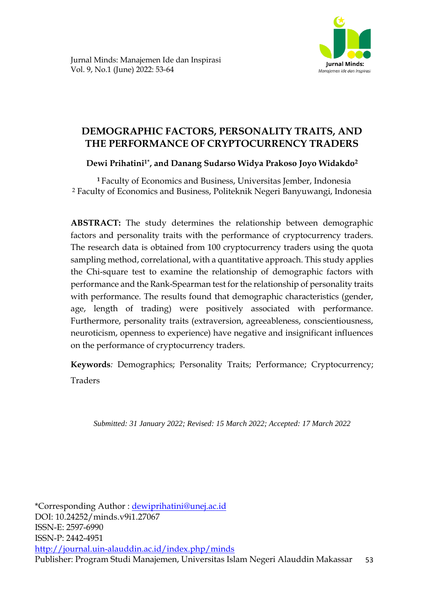

# **DEMOGRAPHIC FACTORS, PERSONALITY TRAITS, AND THE PERFORMANCE OF CRYPTOCURRENCY TRADERS**

## **Dewi Prihatini1\* , and Danang Sudarso Widya Prakoso Joyo Widakdo<sup>2</sup>**

**<sup>1</sup>**Faculty of Economics and Business, Universitas Jember, Indonesia <sup>2</sup> Faculty of Economics and Business, Politeknik Negeri Banyuwangi, Indonesia

**ABSTRACT:** The study determines the relationship between demographic factors and personality traits with the performance of cryptocurrency traders. The research data is obtained from 100 cryptocurrency traders using the quota sampling method, correlational, with a quantitative approach. This study applies the Chi-square test to examine the relationship of demographic factors with performance and the Rank-Spearman test for the relationship of personality traits with performance. The results found that demographic characteristics (gender, age, length of trading) were positively associated with performance. Furthermore, personality traits (extraversion, agreeableness, conscientiousness, neuroticism, openness to experience) have negative and insignificant influences on the performance of cryptocurrency traders.

**Keywords***:* Demographics; Personality Traits; Performance; Cryptocurrency; Traders

*Submitted: 31 January 2022; Revised: 15 March 2022; Accepted: 17 March 2022*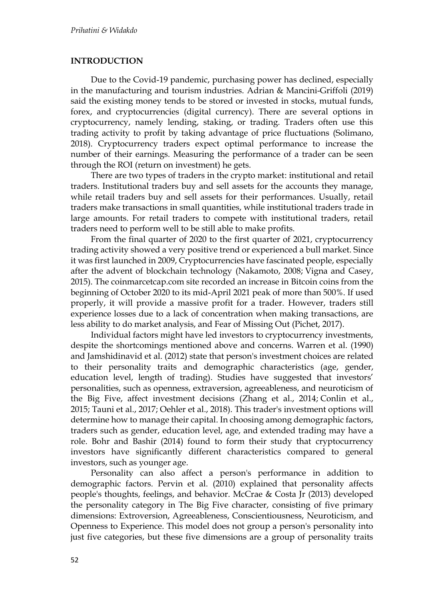## **INTRODUCTION**

Due to the Covid-19 pandemic, purchasing power has declined, especially in the manufacturing and tourism industries. Adrian & Mancini-Griffoli (2019) said the existing money tends to be stored or invested in stocks, mutual funds, forex, and cryptocurrencies (digital currency). There are several options in cryptocurrency, namely lending, staking, or trading. Traders often use this trading activity to profit by taking advantage of price fluctuations (Solimano, 2018). Cryptocurrency traders expect optimal performance to increase the number of their earnings. Measuring the performance of a trader can be seen through the ROI (return on investment) he gets.

There are two types of traders in the crypto market: institutional and retail traders. Institutional traders buy and sell assets for the accounts they manage, while retail traders buy and sell assets for their performances. Usually, retail traders make transactions in small quantities, while institutional traders trade in large amounts. For retail traders to compete with institutional traders, retail traders need to perform well to be still able to make profits.

From the final quarter of 2020 to the first quarter of 2021, cryptocurrency trading activity showed a very positive trend or experienced a bull market. Since it was first launched in 2009, Cryptocurrencies have fascinated people, especially after the advent of blockchain technology [\(Nakamoto, 2008;](https://www.frontiersin.org/articles/10.3389/fpsyg.2020.502295/full#B39) [Vigna and Casey,](https://www.frontiersin.org/articles/10.3389/fpsyg.2020.502295/full#B57)  [2015\)](https://www.frontiersin.org/articles/10.3389/fpsyg.2020.502295/full#B57). The coinmarcetcap.com site recorded an increase in Bitcoin coins from the beginning of October 2020 to its mid-April 2021 peak of more than 500%. If used properly, it will provide a massive profit for a trader. However, traders still experience losses due to a lack of concentration when making transactions, are less ability to do market analysis, and Fear of Missing Out (Pichet, 2017).

Individual factors might have led investors to cryptocurrency investments, despite the shortcomings mentioned above and concerns. Warren et al. (1990) and Jamshidinavid et al. (2012) state that person's investment choices are related to their personality traits and demographic characteristics (age, gender, education level, length of trading). Studies have suggested that investors' personalities, such as openness, extraversion, agreeableness, and neuroticism of the Big Five, affect investment decisions [\(Zhang et al., 2014;](https://www.frontiersin.org/articles/10.3389/fpsyg.2020.502295/full#B60) [Conlin et al.,](https://www.frontiersin.org/articles/10.3389/fpsyg.2020.502295/full#B10)  [2015;](https://www.frontiersin.org/articles/10.3389/fpsyg.2020.502295/full#B10) [Tauni et al., 2017;](https://www.frontiersin.org/articles/10.3389/fpsyg.2020.502295/full#B55) [Oehler et al., 2018\)](https://www.frontiersin.org/articles/10.3389/fpsyg.2020.502295/full#B41). This trader's investment options will determine how to manage their capital. In choosing among demographic factors, traders such as gender, education level, age, and extended trading may have a role. Bohr and Bashir (2014) found to form their study that cryptocurrency investors have significantly different characteristics compared to general investors, such as younger age.

Personality can also affect a person's performance in addition to demographic factors. Pervin et al. (2010) explained that personality affects people's thoughts, feelings, and behavior. McCrae & Costa Jr (2013) developed the personality category in The Big Five character, consisting of five primary dimensions: Extroversion, Agreeableness, Conscientiousness, Neuroticism, and Openness to Experience. This model does not group a person's personality into just five categories, but these five dimensions are a group of personality traits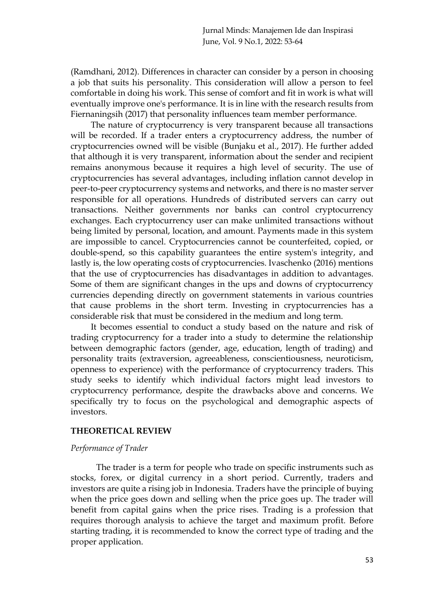(Ramdhani, 2012). Differences in character can consider by a person in choosing a job that suits his personality. This consideration will allow a person to feel comfortable in doing his work. This sense of comfort and fit in work is what will eventually improve one's performance. It is in line with the research results from Fiernaningsih (2017) that personality influences team member performance.

The nature of cryptocurrency is very transparent because all transactions will be recorded. If a trader enters a cryptocurrency address, the number of cryptocurrencies owned will be visible (Bunjaku et al., 2017). He further added that although it is very transparent, information about the sender and recipient remains anonymous because it requires a high level of security. The use of cryptocurrencies has several advantages, including inflation cannot develop in peer-to-peer cryptocurrency systems and networks, and there is no master server responsible for all operations. Hundreds of distributed servers can carry out transactions. Neither governments nor banks can control cryptocurrency exchanges. Each cryptocurrency user can make unlimited transactions without being limited by personal, location, and amount. Payments made in this system are impossible to cancel. Cryptocurrencies cannot be counterfeited, copied, or double-spend, so this capability guarantees the entire system's integrity, and lastly is, the low operating costs of cryptocurrencies. Ivaschenko (2016) mentions that the use of cryptocurrencies has disadvantages in addition to advantages. Some of them are significant changes in the ups and downs of cryptocurrency currencies depending directly on government statements in various countries that cause problems in the short term. Investing in cryptocurrencies has a considerable risk that must be considered in the medium and long term.

It becomes essential to conduct a study based on the nature and risk of trading cryptocurrency for a trader into a study to determine the relationship between demographic factors (gender, age, education, length of trading) and personality traits (extraversion, agreeableness, conscientiousness, neuroticism, openness to experience) with the performance of cryptocurrency traders. This study seeks to identify which individual factors might lead investors to cryptocurrency performance, despite the drawbacks above and concerns. We specifically try to focus on the psychological and demographic aspects of investors.

#### **THEORETICAL REVIEW**

#### *Performance of Trader*

The trader is a term for people who trade on specific instruments such as stocks, forex, or digital currency in a short period. Currently, traders and investors are quite a rising job in Indonesia. Traders have the principle of buying when the price goes down and selling when the price goes up. The trader will benefit from capital gains when the price rises. Trading is a profession that requires thorough analysis to achieve the target and maximum profit. Before starting trading, it is recommended to know the correct type of trading and the proper application.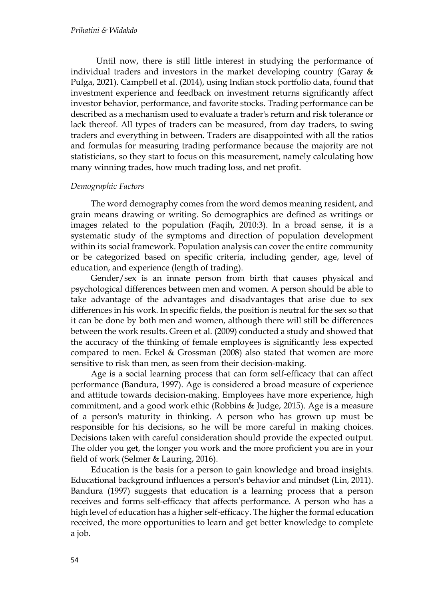Until now, there is still little interest in studying the performance of individual traders and investors in the market developing country (Garay & Pulga, 2021). Campbell et al. (2014), using Indian stock portfolio data, found that investment experience and feedback on investment returns significantly affect investor behavior, performance, and favorite stocks. Trading performance can be described as a mechanism used to evaluate a trader's return and risk tolerance or lack thereof. All types of traders can be measured, from day traders, to swing traders and everything in between. Traders are disappointed with all the ratios and formulas for measuring trading performance because the majority are not statisticians, so they start to focus on this measurement, namely calculating how many winning trades, how much trading loss, and net profit.

#### *Demographic Factors*

The word demography comes from the word demos meaning resident, and grain means drawing or writing. So demographics are defined as writings or images related to the population (Faqih, 2010:3). In a broad sense, it is a systematic study of the symptoms and direction of population development within its social framework. Population analysis can cover the entire community or be categorized based on specific criteria, including gender, age, level of education, and experience (length of trading).

Gender/sex is an innate person from birth that causes physical and psychological differences between men and women. A person should be able to take advantage of the advantages and disadvantages that arise due to sex differences in his work. In specific fields, the position is neutral for the sex so that it can be done by both men and women, although there will still be differences between the work results. Green et al. (2009) conducted a study and showed that the accuracy of the thinking of female employees is significantly less expected compared to men. Eckel & Grossman (2008) also stated that women are more sensitive to risk than men, as seen from their decision-making.

Age is a social learning process that can form self-efficacy that can affect performance (Bandura, 1997). Age is considered a broad measure of experience and attitude towards decision-making. Employees have more experience, high commitment, and a good work ethic (Robbins & Judge, 2015). Age is a measure of a person's maturity in thinking. A person who has grown up must be responsible for his decisions, so he will be more careful in making choices. Decisions taken with careful consideration should provide the expected output. The older you get, the longer you work and the more proficient you are in your field of work (Selmer & Lauring, 2016).

Education is the basis for a person to gain knowledge and broad insights. Educational background influences a person's behavior and mindset (Lin, 2011). Bandura (1997) suggests that education is a learning process that a person receives and forms self-efficacy that affects performance. A person who has a high level of education has a higher self-efficacy. The higher the formal education received, the more opportunities to learn and get better knowledge to complete a job.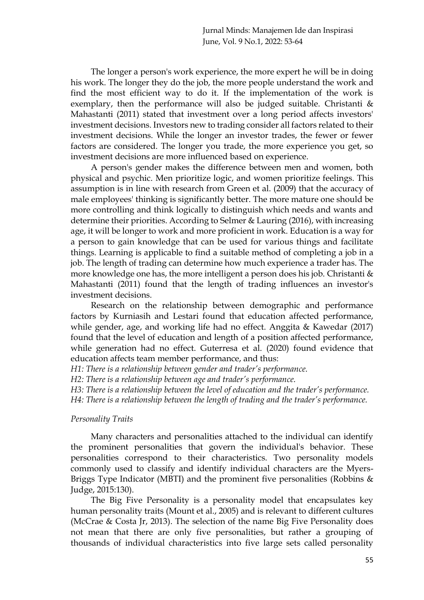The longer a person's work experience, the more expert he will be in doing his work. The longer they do the job, the more people understand the work and find the most efficient way to do it. If the implementation of the work is exemplary, then the performance will also be judged suitable. Christanti  $\&$ Mahastanti (2011) stated that investment over a long period affects investors' investment decisions. Investors new to trading consider all factors related to their investment decisions. While the longer an investor trades, the fewer or fewer factors are considered. The longer you trade, the more experience you get, so investment decisions are more influenced based on experience.

A person's gender makes the difference between men and women, both physical and psychic. Men prioritize logic, and women prioritize feelings. This assumption is in line with research from Green et al. (2009) that the accuracy of male employees' thinking is significantly better. The more mature one should be more controlling and think logically to distinguish which needs and wants and determine their priorities. According to Selmer & Lauring (2016), with increasing age, it will be longer to work and more proficient in work. Education is a way for a person to gain knowledge that can be used for various things and facilitate things. Learning is applicable to find a suitable method of completing a job in a job. The length of trading can determine how much experience a trader has. The more knowledge one has, the more intelligent a person does his job. Christanti & Mahastanti (2011) found that the length of trading influences an investor's investment decisions.

Research on the relationship between demographic and performance factors by Kurniasih and Lestari found that education affected performance, while gender, age, and working life had no effect. Anggita & Kawedar (2017) found that the level of education and length of a position affected performance, while generation had no effect. Guterresa et al. (2020) found evidence that education affects team member performance, and thus:

*H1: There is a relationship between gender and trader's performance.*

*H2: There is a relationship between age and trader's performance.*

*H3: There is a relationship between the level of education and the trader's performance. H4: There is a relationship between the length of trading and the trader's performance.*

#### *Personality Traits*

Many characters and personalities attached to the individual can identify the prominent personalities that govern the individual's behavior. These personalities correspond to their characteristics. Two personality models commonly used to classify and identify individual characters are the Myers-Briggs Type Indicator (MBTI) and the prominent five personalities (Robbins & Judge, 2015:130).

The Big Five Personality is a personality model that encapsulates key human personality traits (Mount et al., 2005) and is relevant to different cultures (McCrae & Costa Jr, 2013). The selection of the name Big Five Personality does not mean that there are only five personalities, but rather a grouping of thousands of individual characteristics into five large sets called personality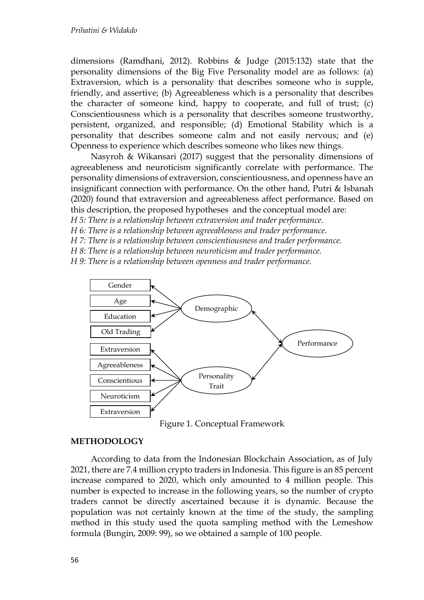dimensions (Ramdhani, 2012). Robbins & Judge (2015:132) state that the personality dimensions of the Big Five Personality model are as follows: (a) Extraversion, which is a personality that describes someone who is supple, friendly, and assertive; (b) Agreeableness which is a personality that describes the character of someone kind, happy to cooperate, and full of trust; (c) Conscientiousness which is a personality that describes someone trustworthy, persistent, organized, and responsible; (d) Emotional Stability which is a personality that describes someone calm and not easily nervous; and (e) Openness to experience which describes someone who likes new things.

Nasyroh & Wikansari (2017) suggest that the personality dimensions of agreeableness and neuroticism significantly correlate with performance. The personality dimensions of extraversion, conscientiousness, and openness have an insignificant connection with performance. On the other hand, Putri & Isbanah (2020) found that extraversion and agreeableness affect performance. Based on this description, the proposed hypotheses and the conceptual model are:

*H 5: There is a relationship between extraversion and trader performance.*

*H 6: There is a relationship between agreeableness and trader performance.*

*H 7: There is a relationship between conscientiousness and trader performance.*

*H 8: There is a relationship between neuroticism and trader performance.*

*H 9: There is a relationship between openness and trader performance.*



Figure 1. Conceptual Framework

#### **METHODOLOGY**

According to data from the Indonesian Blockchain Association, as of July 2021, there are 7.4 million crypto traders in Indonesia. This figure is an 85 percent increase compared to 2020, which only amounted to 4 million people. This number is expected to increase in the following years, so the number of crypto traders cannot be directly ascertained because it is dynamic. Because the population was not certainly known at the time of the study, the sampling method in this study used the quota sampling method with the Lemeshow formula (Bungin, 2009: 99), so we obtained a sample of 100 people.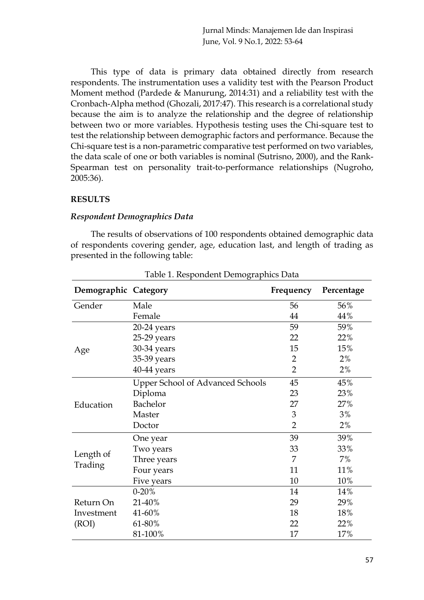Jurnal Minds: Manajemen Ide dan Inspirasi June, Vol. 9 No.1, 2022: 53-64

This type of data is primary data obtained directly from research respondents. The instrumentation uses a validity test with the Pearson Product Moment method (Pardede & Manurung, 2014:31) and a reliability test with the Cronbach-Alpha method (Ghozali, 2017:47). This research is a correlational study because the aim is to analyze the relationship and the degree of relationship between two or more variables. Hypothesis testing uses the Chi-square test to test the relationship between demographic factors and performance. Because the Chi-square test is a non-parametric comparative test performed on two variables, the data scale of one or both variables is nominal (Sutrisno, 2000), and the Rank-Spearman test on personality trait-to-performance relationships (Nugroho, 2005:36).

#### **RESULTS**

#### *Respondent Demographics Data*

The results of observations of 100 respondents obtained demographic data of respondents covering gender, age, education last, and length of trading as presented in the following table:

| Demographic Category |                                         | Frequency      | Percentage |
|----------------------|-----------------------------------------|----------------|------------|
| Gender               | Male                                    | 56             | 56%        |
|                      | Female                                  | 44             | 44%        |
| Age                  | $20-24$ years                           | 59             | 59%        |
|                      | 25-29 years                             | 22             | 22%        |
|                      | 30-34 years                             | 15             | 15%        |
|                      | 35-39 years                             | $\overline{2}$ | 2%         |
|                      | 40-44 years                             | $\overline{2}$ | 2%         |
| Education            | <b>Upper School of Advanced Schools</b> | 45             | 45%        |
|                      | Diploma                                 | 23             | 23%        |
|                      | <b>Bachelor</b>                         | 27             | 27%        |
|                      | Master                                  | 3              | 3%         |
|                      | Doctor                                  | $\overline{2}$ | 2%         |
| Length of<br>Trading | One year                                | 39             | 39%        |
|                      | Two years                               | 33             | 33%        |
|                      | Three years                             | 7              | 7%         |
|                      | Four years                              | 11             | 11%        |
|                      | Five years                              | 10             | 10%        |
| Return On            | $0 - 20%$                               | 14             | 14%        |
|                      | 21-40%                                  | 29             | 29%        |
| Investment           | 41-60%                                  | 18             | 18%        |
| (ROI)                | 61-80%                                  | 22             | 22%        |
|                      | 81-100%                                 | 17             | 17%        |

Table 1. Respondent Demographics Data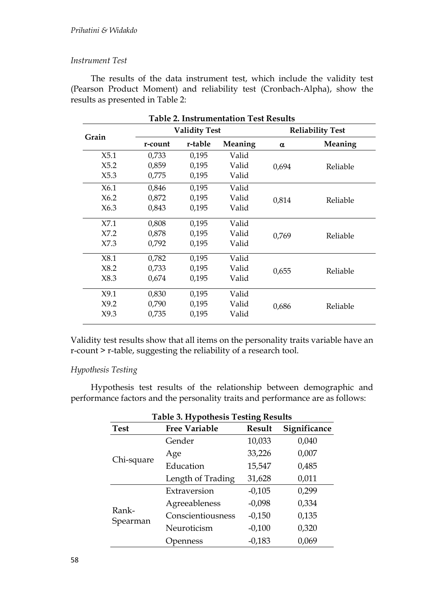### *Instrument Test*

The results of the data instrument test, which include the validity test (Pearson Product Moment) and reliability test (Cronbach-Alpha), show the results as presented in Table 2:

| <b>Table 2. Instrumentation Test Results</b> |         |                         |          |          |  |  |  |
|----------------------------------------------|---------|-------------------------|----------|----------|--|--|--|
| <b>Validity Test</b>                         |         | <b>Reliability Test</b> |          |          |  |  |  |
| r-count                                      | r-table | Meaning                 | $\alpha$ | Meaning  |  |  |  |
| 0,733                                        | 0,195   | Valid                   |          |          |  |  |  |
| 0,859                                        | 0,195   | Valid                   | 0,694    | Reliable |  |  |  |
| 0,775                                        | 0,195   | Valid                   |          |          |  |  |  |
| 0,846                                        | 0,195   | Valid                   |          |          |  |  |  |
| 0,872                                        | 0,195   | Valid                   |          | Reliable |  |  |  |
| 0,843                                        | 0,195   | Valid                   |          |          |  |  |  |
| 0,808                                        | 0,195   | Valid                   |          |          |  |  |  |
| 0,878                                        | 0,195   | Valid                   | 0,769    | Reliable |  |  |  |
| 0,792                                        | 0,195   | Valid                   |          |          |  |  |  |
| 0,782                                        | 0,195   | Valid                   |          |          |  |  |  |
| 0,733                                        | 0,195   | Valid                   | 0,655    | Reliable |  |  |  |
| 0,674                                        | 0,195   | Valid                   |          |          |  |  |  |
| 0,830                                        | 0,195   | Valid                   |          |          |  |  |  |
| 0,790                                        | 0,195   | Valid                   | 0,686    | Reliable |  |  |  |
| 0,735                                        | 0,195   | Valid                   |          |          |  |  |  |
|                                              |         |                         |          | 0,814    |  |  |  |

Validity test results show that all items on the personality traits variable have an r-count > r-table, suggesting the reliability of a research tool.

#### *Hypothesis Testing*

Hypothesis test results of the relationship between demographic and performance factors and the personality traits and performance are as follows:

| <b>Table 3. Hypothesis Testing Results</b> |                      |               |              |  |  |  |
|--------------------------------------------|----------------------|---------------|--------------|--|--|--|
| <b>Test</b>                                | <b>Free Variable</b> | <b>Result</b> | Significance |  |  |  |
| Chi-square                                 | Gender               | 10,033        | 0,040        |  |  |  |
|                                            | Age                  | 33,226        | 0,007        |  |  |  |
|                                            | Education            | 15,547        | 0,485        |  |  |  |
|                                            | Length of Trading    | 31,628        | 0,011        |  |  |  |
| Rank-<br>Spearman                          | Extraversion         | $-0,105$      | 0,299        |  |  |  |
|                                            | Agreeableness        | $-0,098$      | 0,334        |  |  |  |
|                                            | Conscientiousness    | $-0,150$      | 0,135        |  |  |  |
|                                            | Neuroticism          | $-0,100$      | 0,320        |  |  |  |
|                                            | penness              | $-0,183$      | 0,069        |  |  |  |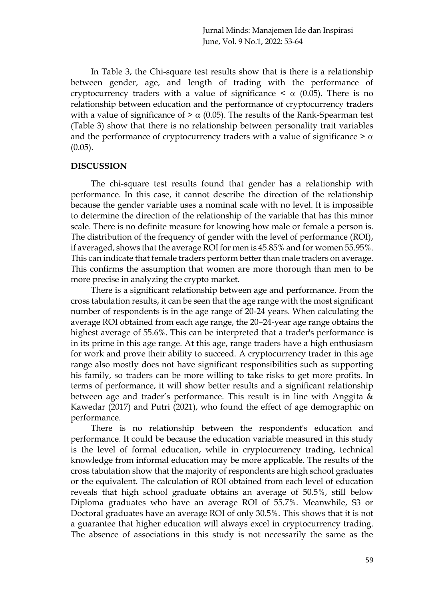In Table 3, the Chi-square test results show that is there is a relationship between gender, age, and length of trading with the performance of cryptocurrency traders with a value of significance  $\lt \alpha$  (0.05). There is no relationship between education and the performance of cryptocurrency traders with a value of significance of  $> \alpha$  (0.05). The results of the Rank-Spearman test (Table 3) show that there is no relationship between personality trait variables and the performance of cryptocurrency traders with a value of significance  $> \alpha$  $(0.05)$ .

#### **DISCUSSION**

The chi-square test results found that gender has a relationship with performance. In this case, it cannot describe the direction of the relationship because the gender variable uses a nominal scale with no level. It is impossible to determine the direction of the relationship of the variable that has this minor scale. There is no definite measure for knowing how male or female a person is. The distribution of the frequency of gender with the level of performance (ROI), if averaged, shows that the average ROI for men is 45.85% and for women 55.95%. This can indicate that female traders perform better than male traders on average. This confirms the assumption that women are more thorough than men to be more precise in analyzing the crypto market.

There is a significant relationship between age and performance. From the cross tabulation results, it can be seen that the age range with the most significant number of respondents is in the age range of 20-24 years. When calculating the average ROI obtained from each age range, the 20–24-year age range obtains the highest average of 55.6%. This can be interpreted that a trader's performance is in its prime in this age range. At this age, range traders have a high enthusiasm for work and prove their ability to succeed. A cryptocurrency trader in this age range also mostly does not have significant responsibilities such as supporting his family, so traders can be more willing to take risks to get more profits. In terms of performance, it will show better results and a significant relationship between age and trader's performance. This result is in line with Anggita & Kawedar (2017) and Putri (2021), who found the effect of age demographic on performance.

There is no relationship between the respondent's education and performance. It could be because the education variable measured in this study is the level of formal education, while in cryptocurrency trading, technical knowledge from informal education may be more applicable. The results of the cross tabulation show that the majority of respondents are high school graduates or the equivalent. The calculation of ROI obtained from each level of education reveals that high school graduate obtains an average of 50.5%, still below Diploma graduates who have an average ROI of 55.7%. Meanwhile, S3 or Doctoral graduates have an average ROI of only 30.5%. This shows that it is not a guarantee that higher education will always excel in cryptocurrency trading. The absence of associations in this study is not necessarily the same as the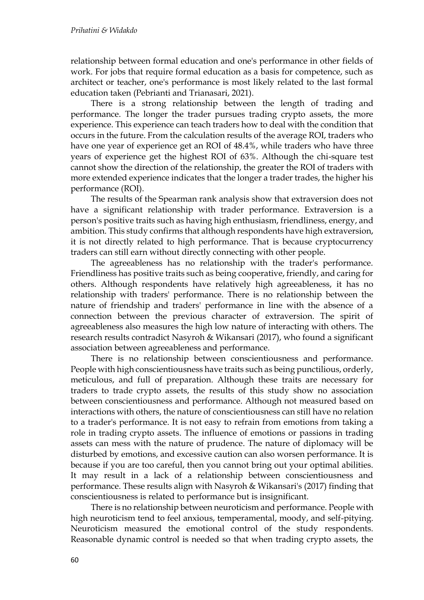relationship between formal education and one's performance in other fields of work. For jobs that require formal education as a basis for competence, such as architect or teacher, one's performance is most likely related to the last formal education taken (Pebrianti and Trianasari, 2021).

There is a strong relationship between the length of trading and performance. The longer the trader pursues trading crypto assets, the more experience. This experience can teach traders how to deal with the condition that occurs in the future. From the calculation results of the average ROI, traders who have one year of experience get an ROI of 48.4%, while traders who have three years of experience get the highest ROI of 63%. Although the chi-square test cannot show the direction of the relationship, the greater the ROI of traders with more extended experience indicates that the longer a trader trades, the higher his performance (ROI).

The results of the Spearman rank analysis show that extraversion does not have a significant relationship with trader performance. Extraversion is a person's positive traits such as having high enthusiasm, friendliness, energy, and ambition. This study confirms that although respondents have high extraversion, it is not directly related to high performance. That is because cryptocurrency traders can still earn without directly connecting with other people.

The agreeableness has no relationship with the trader's performance. Friendliness has positive traits such as being cooperative, friendly, and caring for others. Although respondents have relatively high agreeableness, it has no relationship with traders' performance. There is no relationship between the nature of friendship and traders' performance in line with the absence of a connection between the previous character of extraversion. The spirit of agreeableness also measures the high low nature of interacting with others. The research results contradict Nasyroh & Wikansari (2017), who found a significant association between agreeableness and performance.

There is no relationship between conscientiousness and performance. People with high conscientiousness have traits such as being punctilious, orderly, meticulous, and full of preparation. Although these traits are necessary for traders to trade crypto assets, the results of this study show no association between conscientiousness and performance. Although not measured based on interactions with others, the nature of conscientiousness can still have no relation to a trader's performance. It is not easy to refrain from emotions from taking a role in trading crypto assets. The influence of emotions or passions in trading assets can mess with the nature of prudence. The nature of diplomacy will be disturbed by emotions, and excessive caution can also worsen performance. It is because if you are too careful, then you cannot bring out your optimal abilities. It may result in a lack of a relationship between conscientiousness and performance. These results align with Nasyroh & Wikansari's (2017) finding that conscientiousness is related to performance but is insignificant.

There is no relationship between neuroticism and performance. People with high neuroticism tend to feel anxious, temperamental, moody, and self-pitying. Neuroticism measured the emotional control of the study respondents. Reasonable dynamic control is needed so that when trading crypto assets, the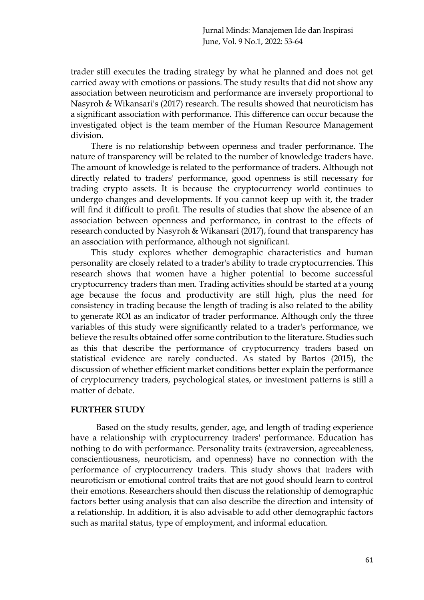trader still executes the trading strategy by what he planned and does not get carried away with emotions or passions. The study results that did not show any association between neuroticism and performance are inversely proportional to Nasyroh & Wikansari's (2017) research. The results showed that neuroticism has a significant association with performance. This difference can occur because the investigated object is the team member of the Human Resource Management division.

There is no relationship between openness and trader performance. The nature of transparency will be related to the number of knowledge traders have. The amount of knowledge is related to the performance of traders. Although not directly related to traders' performance, good openness is still necessary for trading crypto assets. It is because the cryptocurrency world continues to undergo changes and developments. If you cannot keep up with it, the trader will find it difficult to profit. The results of studies that show the absence of an association between openness and performance, in contrast to the effects of research conducted by Nasyroh & Wikansari (2017), found that transparency has an association with performance, although not significant.

This study explores whether demographic characteristics and human personality are closely related to a trader's ability to trade cryptocurrencies. This research shows that women have a higher potential to become successful cryptocurrency traders than men. Trading activities should be started at a young age because the focus and productivity are still high, plus the need for consistency in trading because the length of trading is also related to the ability to generate ROI as an indicator of trader performance. Although only the three variables of this study were significantly related to a trader's performance, we believe the results obtained offer some contribution to the literature. Studies such as this that describe the performance of cryptocurrency traders based on statistical evidence are rarely conducted. As stated by Bartos (2015), the discussion of whether efficient market conditions better explain the performance of cryptocurrency traders, psychological states, or investment patterns is still a matter of debate.

#### **FURTHER STUDY**

Based on the study results, gender, age, and length of trading experience have a relationship with cryptocurrency traders' performance. Education has nothing to do with performance. Personality traits (extraversion, agreeableness, conscientiousness, neuroticism, and openness) have no connection with the performance of cryptocurrency traders. This study shows that traders with neuroticism or emotional control traits that are not good should learn to control their emotions. Researchers should then discuss the relationship of demographic factors better using analysis that can also describe the direction and intensity of a relationship. In addition, it is also advisable to add other demographic factors such as marital status, type of employment, and informal education.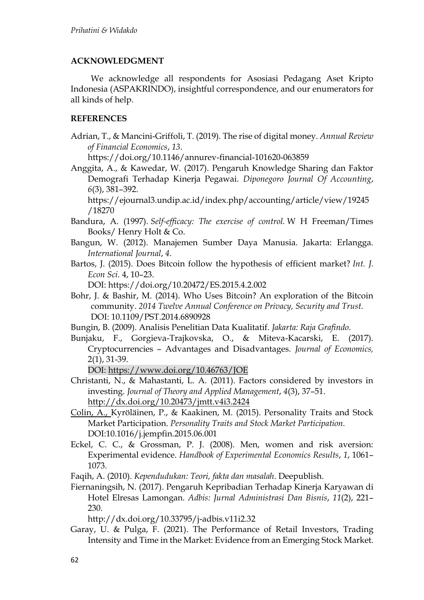## **ACKNOWLEDGMENT**

We acknowledge all respondents for Asosiasi Pedagang Aset Kripto Indonesia (ASPAKRINDO), insightful correspondence, and our enumerators for all kinds of help.

## **REFERENCES**

Adrian, T., & Mancini-Griffoli, T. (2019). The rise of digital money. *Annual Review of Financial Economics*, *13*.

https://doi.org/10.1146/annurev-financial-101620-063859

Anggita, A., & Kawedar, W. (2017). Pengaruh Knowledge Sharing dan Faktor Demografi Terhadap Kinerja Pegawai. *Diponegoro Journal Of Accounting*, *6*(3), 381–392.

https://ejournal3.undip.ac.id/index.php/accounting/article/view/19245 /18270

- Bandura, A. (1997). *Self-efficacy: The exercise of control.* W H Freeman/Times Books/ Henry Holt & Co.
- Bangun, W. (2012). Manajemen Sumber Daya Manusia. Jakarta: Erlangga. *International Journal*, *4*.
- Bartos, J. (2015). Does Bitcoin follow the hypothesis of efficient market? *Int. J. Econ Sci.* 4, 10–23.

DOI: https://doi.org/10.20472/ES.2015.4.2.002

- Bohr, J. & Bashir, M. (2014). Who Uses Bitcoin? An exploration of the Bitcoin community. *2014 Twelve Annual Conference on Privacy, Security and Trust.*  DOI: [10.1109/PST.2014.6890928](https://doi.org/10.1109/PST.2014.6890928)
- Bungin, B. (2009). Analisis Penelitian Data Kualitatif. *Jakarta: Raja Grafindo*.
- Bunjaku, F., Gorgieva-Trajkovska, O., & Miteva-Kacarski, E. (2017). Cryptocurrencies – Advantages and Disadvantages. *Journal of Economics,* 2(1), 31-39.

DOI: <https://www.doi.org/10.46763/JOE>

- Christanti, N., & Mahastanti, L. A. (2011). Factors considered by investors in investing. *Journal of Theory and Applied Management*, *4*(3), 37–51. <http://dx.doi.org/10.20473/jmtt.v4i3.2424>
- Colin, A., [Kyröläinen,](https://www.researchgate.net/scientific-contributions/Petri-Kyroelaeinen-2076946988) P., & Kaakinen, M. [\(2015\).](https://www.researchgate.net/scientific-contributions/Marika-Kaakinen-66339) Personality Traits and Stock Market Participation. *Personality Traits and Stock Market Participation.*  DOI[:10.1016/j.jempfin.2015.06.001](http://dx.doi.org/10.1016/j.jempfin.2015.06.001)
- Eckel, C. C., & Grossman, P. J. (2008). Men, women and risk aversion: Experimental evidence. *Handbook of Experimental Economics Results*, *1*, 1061– 1073.
- Faqih, A. (2010). *Kependudukan: Teori, fakta dan masalah*. Deepublish.
- Fiernaningsih, N. (2017). Pengaruh Kepribadian Terhadap Kinerja Karyawan di Hotel Elresas Lamongan. *Adbis: Jurnal Administrasi Dan Bisnis*, *11*(2), 221– 230.

http://dx.doi.org/10.33795/j-adbis.v11i2.32

Garay, U. & Pulga, F. (2021). The Performance of Retail Investors, Trading Intensity and Time in the Market: Evidence from an Emerging Stock Market.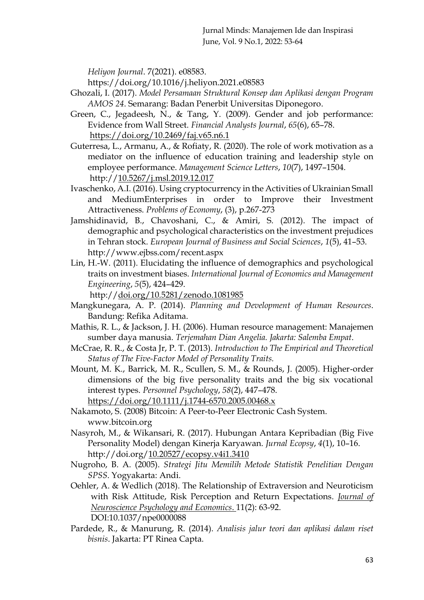*Heliyon Journal*. 7(2021). e08583.

https://doi.org/10.1016/j.heliyon.2021.e08583

- Ghozali, I. (2017). *Model Persamaan Struktural Konsep dan Aplikasi dengan Program AMOS 24*. Semarang: Badan Penerbit Universitas Diponegoro.
- Green, C., Jegadeesh, N., & Tang, Y. (2009). Gender and job performance: Evidence from Wall Street. *Financial Analysts Journal*, *65*(6), 65–78. <https://doi.org/10.2469/faj.v65.n6.1>
- Guterresa, L., Armanu, A., & Rofiaty, R. (2020). The role of work motivation as a mediator on the influence of education training and leadership style on employee performance. *Management Science Letters*, *10*(7), 1497–1504. http:/[/10.5267/j.msl.2019.12.017](http://dx.doi.org/10.5267/j.msl.2019.12.017)
- Ivaschenko, A.I. (2016). Using cryptocurrency in the Activities of Ukrainian Small and MediumEnterprises in order to Improve their Investment Attractiveness. *Problems of Economy*, (3), p.267-273
- Jamshidinavid, B., Chavoshani, C., & Amiri, S. (2012). The impact of demographic and psychological characteristics on the investment prejudices in Tehran stock. *European Journal of Business and Social Sciences*, *1*(5), 41–53. http://www.ejbss.com/recent.aspx
- Lin, H.-W. (2011). Elucidating the influence of demographics and psychological traits on investment biases. *International Journal of Economics and Management Engineering*, *5*(5), 424–429.

http:/[/doi.org/10.5281/zenodo.1081985](https://doi.org/10.5281/zenodo.1081985)

- Mangkunegara, A. P. (2014). *Planning and Development of Human Resources*. Bandung: Refika Aditama.
- Mathis, R. L., & Jackson, J. H. (2006). Human resource management: Manajemen sumber daya manusia. *Terjemahan Dian Angelia. Jakarta: Salemba Empat*.
- McCrae, R. R., & Costa Jr, P. T. (2013). *Introduction to The Empirical and Theoretical Status of The Five-Factor Model of Personality Traits.*
- Mount, M. K., Barrick, M. R., Scullen, S. M., & Rounds, J. (2005). Higher‐order dimensions of the big five personality traits and the big six vocational interest types. *Personnel Psychology*, *58*(2), 447–478. <https://doi.org/10.1111/j.1744-6570.2005.00468.x>
- Nakamoto, S. (2008) Bitcoin: A Peer-to-Peer Electronic Cash System. www.bitcoin.org
- Nasyroh, M., & Wikansari, R. (2017). Hubungan Antara Kepribadian (Big Five Personality Model) dengan Kinerja Karyawan. *Jurnal Ecopsy*, *4*(1), 10–16. http://doi.org[/10.20527/ecopsy.v4i1.3410](http://dx.doi.org/10.20527/ecopsy.v4i1.3410)
- Nugroho, B. A. (2005). *Strategi Jitu Memilih Metode Statistik Penelitian Dengan SPSS*. Yogyakarta: Andi.
- Oehler, A. & Wedlich (2018). The Relationship of Extraversion and Neuroticism with Risk Attitude, Risk Perception and Return Expectations. *[Journal of](https://www.researchgate.net/journal/Journal-of-Neuroscience-Psychology-and-Economics-2151-318X)  [Neuroscience Psychology and Economics](https://www.researchgate.net/journal/Journal-of-Neuroscience-Psychology-and-Economics-2151-318X)*. 11(2): 63-92. DOI[:10.1037/npe0000088](http://dx.doi.org/10.1037/npe0000088)
- Pardede, R., & Manurung, R. (2014). *Analisis jalur teori dan aplikasi dalam riset bisnis*. Jakarta: PT Rinea Capta.